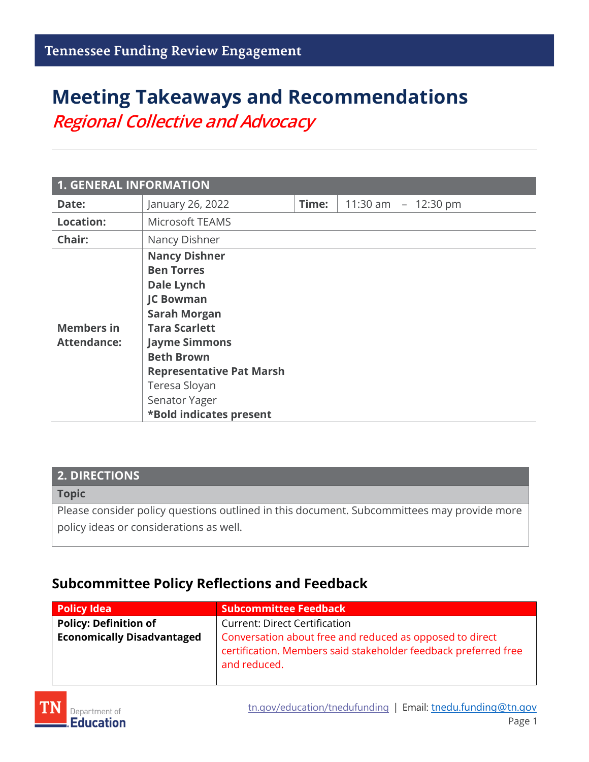# **Meeting Takeaways and Recommendations** *Regional Collective and Advocacy*

| <b>1. GENERAL INFORMATION</b>           |                                                                                                                                                                                                                                                                                |       |                      |  |
|-----------------------------------------|--------------------------------------------------------------------------------------------------------------------------------------------------------------------------------------------------------------------------------------------------------------------------------|-------|----------------------|--|
| Date:                                   | January 26, 2022                                                                                                                                                                                                                                                               | Time: | 11:30 am $-12:30$ pm |  |
| <b>Location:</b>                        | Microsoft TEAMS                                                                                                                                                                                                                                                                |       |                      |  |
| Chair:                                  | Nancy Dishner                                                                                                                                                                                                                                                                  |       |                      |  |
| <b>Members in</b><br><b>Attendance:</b> | <b>Nancy Dishner</b><br><b>Ben Torres</b><br><b>Dale Lynch</b><br><b>JC Bowman</b><br><b>Sarah Morgan</b><br><b>Tara Scarlett</b><br><b>Jayme Simmons</b><br><b>Beth Brown</b><br><b>Representative Pat Marsh</b><br>Teresa Sloyan<br>Senator Yager<br>*Bold indicates present |       |                      |  |

### **2. DIRECTIONS**

#### **Topic**

Please consider policy questions outlined in this document. Subcommittees may provide more policy ideas or considerations as well.

### **Subcommittee Policy Reflections and Feedback**

| <b>Policy Idea</b>                | <b>Subcommittee Feedback</b>                                                                                                                |
|-----------------------------------|---------------------------------------------------------------------------------------------------------------------------------------------|
| <b>Policy: Definition of</b>      | <b>Current: Direct Certification</b>                                                                                                        |
| <b>Economically Disadvantaged</b> | Conversation about free and reduced as opposed to direct<br>certification. Members said stakeholder feedback preferred free<br>and reduced. |

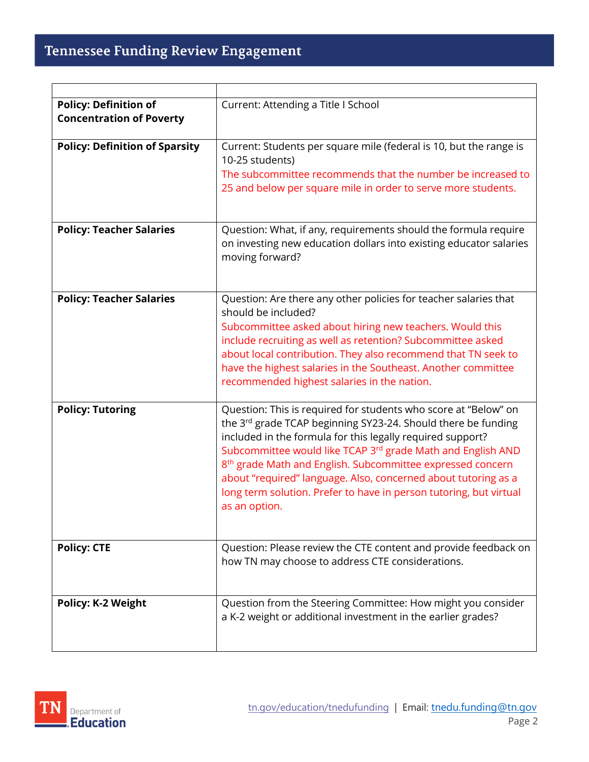| <b>Policy: Definition of</b><br><b>Concentration of Poverty</b> | Current: Attending a Title I School                                                                                                                                                                                                                                                                                                                                                                                                                                                              |
|-----------------------------------------------------------------|--------------------------------------------------------------------------------------------------------------------------------------------------------------------------------------------------------------------------------------------------------------------------------------------------------------------------------------------------------------------------------------------------------------------------------------------------------------------------------------------------|
| <b>Policy: Definition of Sparsity</b>                           | Current: Students per square mile (federal is 10, but the range is<br>10-25 students)<br>The subcommittee recommends that the number be increased to<br>25 and below per square mile in order to serve more students.                                                                                                                                                                                                                                                                            |
| <b>Policy: Teacher Salaries</b>                                 | Question: What, if any, requirements should the formula require<br>on investing new education dollars into existing educator salaries<br>moving forward?                                                                                                                                                                                                                                                                                                                                         |
| <b>Policy: Teacher Salaries</b>                                 | Question: Are there any other policies for teacher salaries that<br>should be included?<br>Subcommittee asked about hiring new teachers. Would this<br>include recruiting as well as retention? Subcommittee asked<br>about local contribution. They also recommend that TN seek to<br>have the highest salaries in the Southeast. Another committee<br>recommended highest salaries in the nation.                                                                                              |
| <b>Policy: Tutoring</b>                                         | Question: This is required for students who score at "Below" on<br>the 3rd grade TCAP beginning SY23-24. Should there be funding<br>included in the formula for this legally required support?<br>Subcommittee would like TCAP 3rd grade Math and English AND<br>8 <sup>th</sup> grade Math and English. Subcommittee expressed concern<br>about "required" language. Also, concerned about tutoring as a<br>long term solution. Prefer to have in person tutoring, but virtual<br>as an option. |
| <b>Policy: CTE</b>                                              | Question: Please review the CTE content and provide feedback on<br>how TN may choose to address CTE considerations.                                                                                                                                                                                                                                                                                                                                                                              |
| <b>Policy: K-2 Weight</b>                                       | Question from the Steering Committee: How might you consider<br>a K-2 weight or additional investment in the earlier grades?                                                                                                                                                                                                                                                                                                                                                                     |

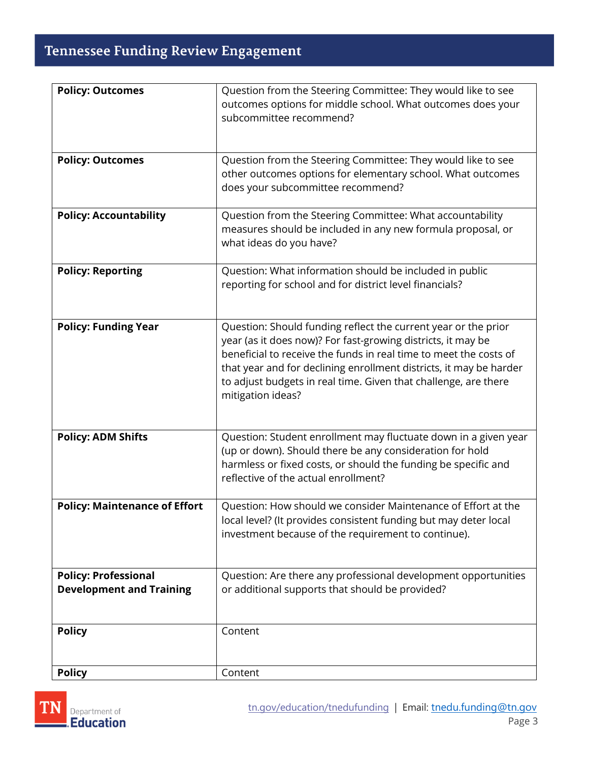## Tennessee Funding Review Engagement

| <b>Policy: Outcomes</b>                                        | Question from the Steering Committee: They would like to see<br>outcomes options for middle school. What outcomes does your<br>subcommittee recommend?                                                                                                                                                                                                            |
|----------------------------------------------------------------|-------------------------------------------------------------------------------------------------------------------------------------------------------------------------------------------------------------------------------------------------------------------------------------------------------------------------------------------------------------------|
| <b>Policy: Outcomes</b>                                        | Question from the Steering Committee: They would like to see<br>other outcomes options for elementary school. What outcomes<br>does your subcommittee recommend?                                                                                                                                                                                                  |
| <b>Policy: Accountability</b>                                  | Question from the Steering Committee: What accountability<br>measures should be included in any new formula proposal, or<br>what ideas do you have?                                                                                                                                                                                                               |
| <b>Policy: Reporting</b>                                       | Question: What information should be included in public<br>reporting for school and for district level financials?                                                                                                                                                                                                                                                |
| <b>Policy: Funding Year</b>                                    | Question: Should funding reflect the current year or the prior<br>year (as it does now)? For fast-growing districts, it may be<br>beneficial to receive the funds in real time to meet the costs of<br>that year and for declining enrollment districts, it may be harder<br>to adjust budgets in real time. Given that challenge, are there<br>mitigation ideas? |
| <b>Policy: ADM Shifts</b>                                      | Question: Student enrollment may fluctuate down in a given year<br>(up or down). Should there be any consideration for hold<br>harmless or fixed costs, or should the funding be specific and<br>reflective of the actual enrollment?                                                                                                                             |
| <b>Policy: Maintenance of Effort</b>                           | Question: How should we consider Maintenance of Effort at the<br>local level? (It provides consistent funding but may deter local<br>investment because of the requirement to continue).                                                                                                                                                                          |
| <b>Policy: Professional</b><br><b>Development and Training</b> | Question: Are there any professional development opportunities<br>or additional supports that should be provided?                                                                                                                                                                                                                                                 |
| <b>Policy</b>                                                  | Content                                                                                                                                                                                                                                                                                                                                                           |
| <b>Policy</b>                                                  | Content                                                                                                                                                                                                                                                                                                                                                           |